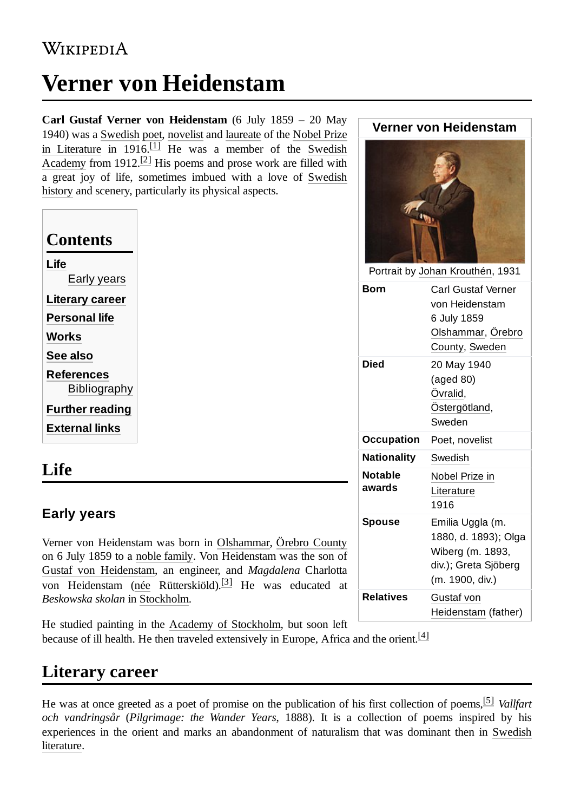# **Verner von Heidenstam**

**Carl Gustaf Verner von Heidenstam** (6 July 1859 – 20 May 1940) was a [Swedish](https://en.wikipedia.org/wiki/Sweden) [p](https://en.wikipedia.org/wiki/Nobel_Prize_in_Literature)[oe](https://en.wikipedia.org/wiki/Poet)[t,](https://en.wikipedia.org/wiki/Nobel_Prize_in_Literature) [novelis](https://en.wikipedia.org/wiki/Novelist)[t and](https://en.wikipedia.org/wiki/Nobel_Prize_in_Literature) [laureate](https://en.wikipedia.org/wiki/Laureate) [of the](https://en.wikipedia.org/wiki/Nobel_Prize_in_Literature) Nobel Prize [in Literature](https://en.wikipedia.org/wiki/Swedish_Academy) in  $1916.$ <sup>[\[1\]](#page-2-0)</sup> He was a member of the Swedish Academy from 1912.<sup>[\[2\]](#page-2-1)</sup> His poems and prose work are filled with a great joy of life, sometimes imbued with a love of Swedish [history and scenery, particularly its physical aspects.](https://en.wikipedia.org/wiki/History_of_Sweden)

| Contents               |
|------------------------|
| Life                   |
| Early years            |
| Literary career        |
| <b>Personal life</b>   |
| Works                  |
| See also               |
| References             |
| Bibliography           |
| <b>Further reading</b> |
| <b>External links</b>  |
|                        |

### <span id="page-0-0"></span>**Life**

#### <span id="page-0-1"></span>**Early years**

Verner von Heidenstam was born in [Olshammar,](https://en.wikipedia.org/wiki/Olshammar) [Örebro County](https://en.wikipedia.org/wiki/%C3%96rebro_County) on 6 July 1859 to a [noble family](https://en.wikipedia.org/wiki/Nobility). Von Heidenstam was the son of Gustaf [von Heidenstam,](https://en.wikipedia.org/wiki/Gustaf_von_Heidenstam) an engineer, and *Magdalena* Charlotta von Heidenstam ([née](https://en.wikipedia.org/wiki/N%C3%A9e) Rütterskiöld).<sup>[\[3\]](#page-2-6)</sup> He was educated at *Beskowska skolan* in [Stockholm.](https://en.wikipedia.org/wiki/Stockholm)

Portrait by Johan [Krouthén](https://en.wikipedia.org/wiki/Johan_Krouth%C3%A9n), 1931 **Born** Carl Gustaf Verner von Heidenstam 6 July 1859 [Olshammar](https://en.wikipedia.org/wiki/Olshammar)[,](https://en.wikipedia.org/wiki/%C3%96rebro_County) Örebro County, [Sweden](https://en.wikipedia.org/wiki/Sweden) **Died** 20 May 1940 (aged 80) [Övralid,](https://en.wikipedia.org/wiki/%C3%96vralid) [Östergötland,](https://en.wikipedia.org/wiki/%C3%96sterg%C3%B6tland) Sweden **Occupation** Poet, novelist **Nationality** [Swedish](https://en.wikipedia.org/wiki/Sweden) **Notable awards** Nobel Prize in [Literature](https://en.wikipedia.org/wiki/Nobel_Prize_in_Literature) 1916 **Spouse** Emilia Uggla (m. 1880, d. 1893); Olga Wiberg (m. 1893, div.); Greta Sjöberg (m. 1900, div.) **Relatives** Gustaf von [Heidenstam](https://en.wikipedia.org/wiki/Gustaf_von_Heidenstam) (father)

**Verner von Heidenstam**

He studied painting in the [Academy of](https://en.wikipedia.org/wiki/Royal_Swedish_Academy_of_Fine_Arts) Stockholm, but soon left

because of ill health. He then traveled extensively in [Europe](https://en.wikipedia.org/wiki/Europe), [Africa](https://en.wikipedia.org/wiki/Africa) and the orient.<sup>[\[4\]](#page-2-7)</sup>

# <span id="page-0-2"></span>**Literary career**

He was at once greeted as a poet of promise on the publication of his first collection of poems, [\[5\]](#page-2-8) *Vallfart och vandringsår* (*Pilgrimage: the Wander Years*, 1888). It is a collection of poems inspired by his experiences in the orient and marks [an abandonment](https://en.wikipedia.org/wiki/Swedish_literature) of naturalism that was dominant then in Swedish literature.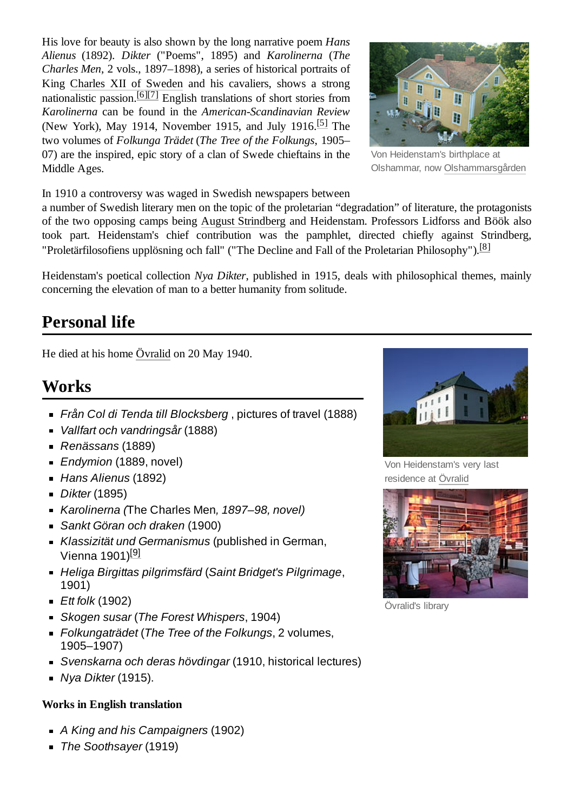His love for beauty is also shown by the long narrative poem *Hans Alienus* (1892). *Dikter* ("Poems", 1895) and *Karolinerna* (*The Charles Men*, 2 vols., 1897–1898), a series of historical portraits of King Charles XII of [Sweden](https://en.wikipedia.org/wiki/Charles_XII_of_Sweden) and his cavaliers, shows a strong nationalistic passion.<sup>[\[6\]](#page-2-9)[\[7\]](#page-2-10)</sup> English translations of short stories from *Karolinerna* can be found in the *American-Scandinavian Review* (New York), May 1914, November 1915, and July 1916.<sup>[\[5\]](#page-2-8)</sup> The two volumes of *Folkunga Trädet* (*The Tree of the Folkungs*, 1905– 07) are the inspired, epic story of a clan of Swede chieftains in the Middle Ages.



Von Heidenstam's birthplace at Olshammar, now [Olshammarsgården](https://en.wikipedia.org/w/index.php?title=Olshammarsg%C3%A5rden&action=edit&redlink=1)

In 1910 a controversy was waged in Swedish newspapers between

a number of Swedish literary men on the topic of the proletarian "degradation" of literature, the protagonists of the two opposing camps being August [Strindberg](https://en.wikipedia.org/wiki/August_Strindberg) and Heidenstam. Professors Lidforss and Böök also took part. Heidenstam's chief contribution was the pamphlet, directed chiefly against Strindberg, "Proletärfilosofiens upplösning och fall" ("The Decline and Fall of the Proletarian Philosophy").<sup>[\[8\]](#page-2-11)</sup>

Heidenstam's poetical collection *Nya Dikter*, published in 1915, deals with philosophical themes, mainly concerning the elevation of man to a better humanity from solitude.

### <span id="page-1-0"></span>**Personal life**

He died at his home [Övralid](https://en.wikipedia.org/wiki/%C3%96vralid) on 20 May 1940.

### <span id="page-1-1"></span>**Works**

- *Från Col di Tenda till Blocksberg* , pictures of travel (1888)
- *Vallfart och vandringsår* (1888)
- *Renässans* (1889)
- *Endymion* (1889, novel)
- *Hans Alienus* (1892)
- *Dikter* (1895)
- *Karolinerna (*The Charles Men*, 1897–98, novel)*
- *Sankt Göran och draken* (1900)
- *Klassizität und Germanismus* (published in German, Vienna 1901)<sup>[\[9\]](#page-2-12)</sup>
- *Heliga Birgittas pilgrimsfärd* (*Saint Bridget's Pilgrimage*, 1901)
- *Ett folk* (1902)
- *Skogen susar* (*The Forest Whispers*, 1904)
- *Folkungaträdet* (*The Tree of the Folkungs*, 2 volumes, 1905–1907)
- *Svenskarna och deras hövdingar* (1910, historical lectures)
- *Nya Dikter* (1915).

#### **Works in English translation**

- *A King and his Campaigners* (1902)
- *The Soothsayer* (1919)



Von Heidenstam's very last residence at [Övralid](https://en.wikipedia.org/wiki/%C3%96vralid)



Övralid's library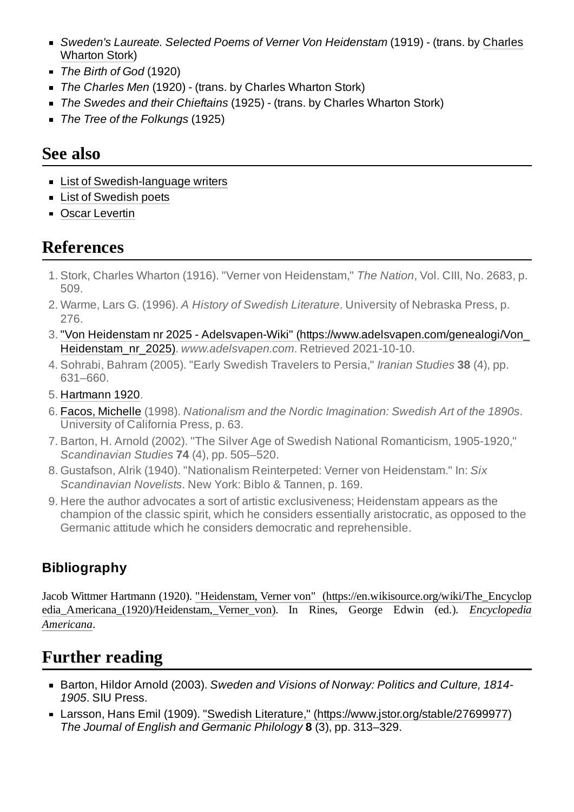- *[Sweden's Laureate.](https://en.wikipedia.org/wiki/Charles_Wharton_Stork) Selected Poems of Verner Von Heidenstam* (1919) (trans. by Charles Wharton Stork)
- *The Birth of God* (1920)
- *The Charles Men* (1920) (trans. by Charles Wharton Stork)
- *The Swedes and their Chieftains* (1925) (trans. by Charles Wharton Stork)
- *The Tree of the Folkungs* (1925)

### <span id="page-2-2"></span>**See also**

- **List of [Swedish-language](https://en.wikipedia.org/wiki/List_of_Swedish-language_writers) writers**
- **List of [Swedish](https://en.wikipedia.org/wiki/List_of_Swedish_poets) poets**
- **D** Oscar [Levertin](https://en.wikipedia.org/wiki/Oscar_Levertin)

### <span id="page-2-3"></span>**References**

- <span id="page-2-0"></span>1. Stork, Charles Wharton (1916). "Verner von Heidenstam," *The Nation*, Vol. CIII, No. 2683, p. 509.
- <span id="page-2-1"></span>2. Warme, Lars G. (1996). *A History of Swedish Literature*. University of Nebraska Press, p. 276.
- <span id="page-2-6"></span>3. "Von Heidenstam nr 2025 - Adelsvapen-Wiki" [\(https://www.adelsvapen.com/genealogi/Von\\_](https://www.adelsvapen.com/genealogi/Von_Heidenstam_nr_2025) Heidenstam\_nr\_2025). *www.adelsvapen.com*. Retrieved 2021-10-10.
- <span id="page-2-7"></span>4. Sohrabi, Bahram (2005). "Early Swedish Travelers to Persia," *Iranian Studies* **38** (4), pp. 631–660.
- <span id="page-2-8"></span>5. [Hartmann](#page-2-13) 1920.
- <span id="page-2-9"></span>6. Facos, [Michelle](https://en.wikipedia.org/wiki/Michelle_Facos) (1998). *Nationalism and the Nordic Imagination: Swedish Art of the 1890s*. University of California Press, p. 63.
- <span id="page-2-10"></span>7. Barton, H. Arnold (2002). "The Silver Age of Swedish National Romanticism, 1905-1920," *Scandinavian Studies* **74** (4), pp. 505–520.
- <span id="page-2-11"></span>8. Gustafson, Alrik (1940). "Nationalism Reinterpeted: Verner von Heidenstam." In: *Six Scandinavian Novelists*. New York: Biblo & Tannen, p. 169.
- <span id="page-2-12"></span>9. Here the author advocates a sort of artistic exclusiveness; Heidenstam appears as the champion of the classic spirit, which he considers essentially aristocratic, as opposed to the Germanic attitude which he considers democratic and reprehensible.

#### <span id="page-2-4"></span>**Bibliography**

<span id="page-2-13"></span>Jacob Wittmer Hartmann (1920). "Heidenstam, Verner von" (https://en.wikisource.org/wiki/The\_Encyclop [edia\\_Americana\\_\(1920\)/Heidenstam,\\_Verner\\_von\). In Rines, George](https://en.wikisource.org/wiki/The_Encyclopedia_Americana_(1920)/Heidenstam,_Verner_von) Edwin (ed.). *Encyclopedia Americana*.

# <span id="page-2-5"></span>**Further reading**

- Barton, Hildor Arnold (2003). *Sweden and Visions of Norway: Politics and Culture, 1814- 1905*. SIU Press.
- Larsson, Hans Emil (1909). "Swedish Literature," [\(https://www.jstor.org/stable/27699977\)](https://www.jstor.org/stable/27699977) *The Journal of English and Germanic Philology* **8** (3), pp. 313–329.